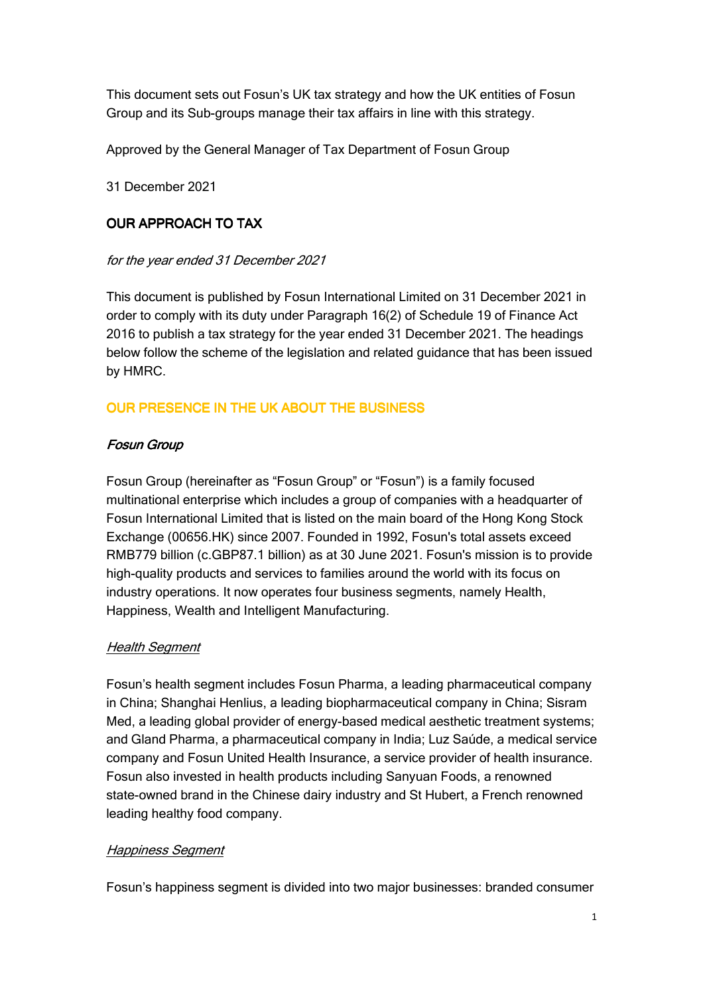This document sets out Fosun's UK tax strategy and how the UK entities of Fosun Group and its Sub-groups manage their tax affairs in line with this strategy.

Approved by the General Manager of Tax Department of Fosun Group

31 December 2021

## **OUR APPROACH TO TAX**

### for the year ended 31 December 2021

This document is published by Fosun International Limited on 31 December 2021 in order to comply with its duty under Paragraph 16(2) of Schedule 19 of Finance Act 2016 to publish a tax strategy for the year ended 31 December 2021. The headings below follow the scheme of the legislation and related guidance that has been issued by HMRC.

# OUR PRESENCE IN THE UK ABOUT THE BUSINESS

### Fosun Group

Fosun Group (hereinafter as "Fosun Group" or "Fosun") is a family focused multinational enterprise which includes a group of companies with a headquarter of Fosun International Limited that is listed on the main board of the Hong Kong Stock Exchange (00656.HK) since 2007. Founded in 1992, Fosun's total assets exceed RMB779 billion (c.GBP87.1 billion) as at 30 June 2021. Fosun's mission is to provide high-quality products and services to families around the world with its focus on industry operations. It now operates four business segments, namely Health, Happiness, Wealth and Intelligent Manufacturing.

#### Health Segment

Fosun's health segment includes Fosun Pharma, a leading pharmaceutical company in China; Shanghai Henlius, a leading biopharmaceutical company in China; Sisram Med, a leading global provider of energy-based medical aesthetic treatment systems; and Gland Pharma, a pharmaceutical company in India; Luz Saúde, a medical service company and Fosun United Health Insurance, a service provider of health insurance. Fosun also invested in health products including Sanyuan Foods, a renowned state-owned brand in the Chinese dairy industry and St Hubert, a French renowned leading healthy food company.

#### Happiness Segment

Fosun's happiness segment is divided into two major businesses: branded consumer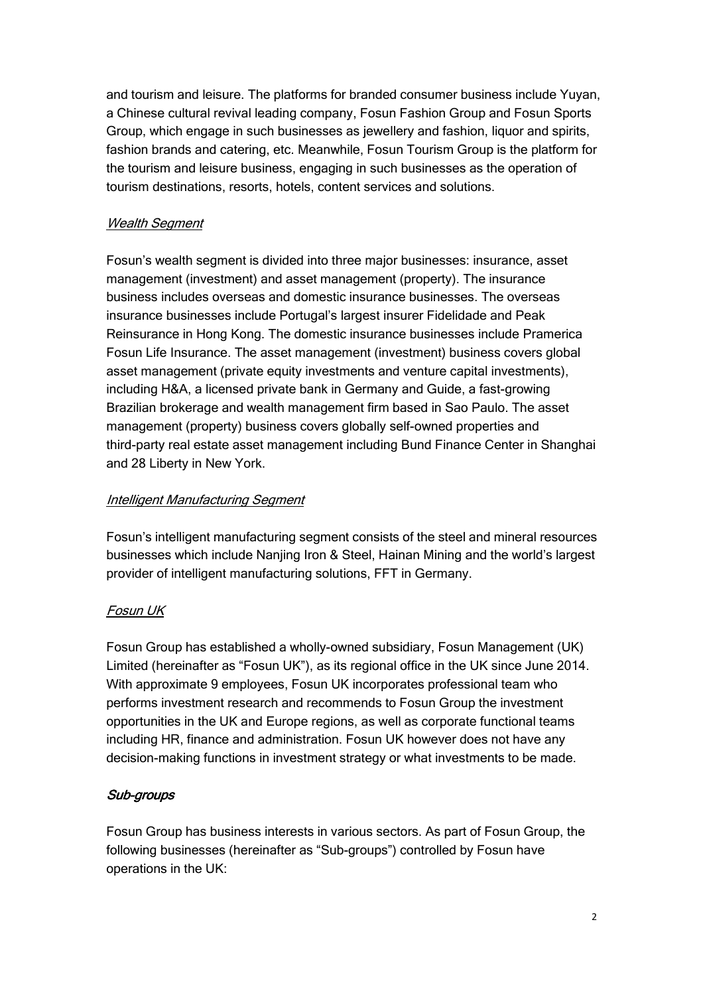and tourism and leisure. The platforms for branded consumer business include Yuyan, a Chinese cultural revival leading company, Fosun Fashion Group and Fosun Sports Group, which engage in such businesses as jewellery and fashion, liquor and spirits, fashion brands and catering, etc. Meanwhile, Fosun Tourism Group is the platform for the tourism and leisure business, engaging in such businesses as the operation of tourism destinations, resorts, hotels, content services and solutions.

### Wealth Segment

Fosun's wealth segment is divided into three major businesses: insurance, asset management (investment) and asset management (property). The insurance business includes overseas and domestic insurance businesses. The overseas insurance businesses include Portugal's largest insurer Fidelidade and Peak Reinsurance in Hong Kong. The domestic insurance businesses include Pramerica Fosun Life Insurance. The asset management (investment) business covers global asset management (private equity investments and venture capital investments), including H&A, a licensed private bank in Germany and Guide, a fast-growing Brazilian brokerage and wealth management firm based in Sao Paulo. The asset management (property) business covers globally self-owned properties and third-party real estate asset management including Bund Finance Center in Shanghai and 28 Liberty in New York.

### Intelligent Manufacturing Segment

Fosun's intelligent manufacturing segment consists of the steel and mineral resources businesses which include Nanjing Iron & Steel, Hainan Mining and the world's largest provider of intelligent manufacturing solutions, FFT in Germany.

### Fosun UK

Fosun Group has established a wholly-owned subsidiary, Fosun Management (UK) Limited (hereinafter as "Fosun UK"), as its regional office in the UK since June 2014. With approximate 9 employees, Fosun UK incorporates professional team who performs investment research and recommends to Fosun Group the investment opportunities in the UK and Europe regions, as well as corporate functional teams including HR, finance and administration. Fosun UK however does not have any decision-making functions in investment strategy or what investments to be made.

### Sub-groups

Fosun Group has business interests in various sectors. As part of Fosun Group, the following businesses (hereinafter as "Sub-groups") controlled by Fosun have operations in the UK: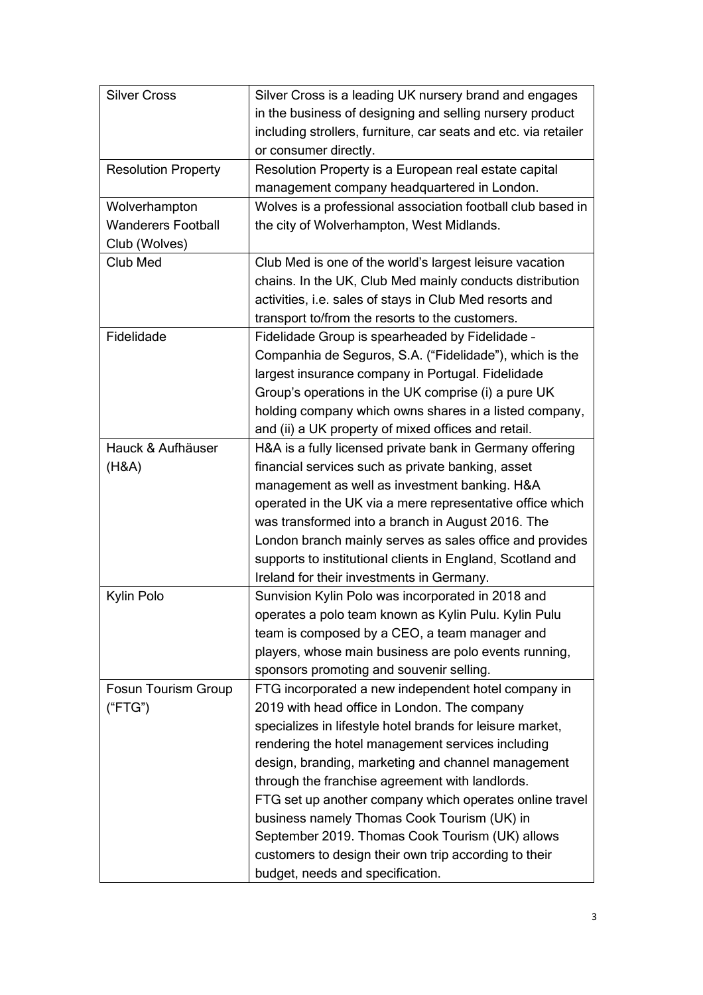| <b>Silver Cross</b>        | Silver Cross is a leading UK nursery brand and engages          |
|----------------------------|-----------------------------------------------------------------|
|                            | in the business of designing and selling nursery product        |
|                            | including strollers, furniture, car seats and etc. via retailer |
|                            | or consumer directly.                                           |
| <b>Resolution Property</b> | Resolution Property is a European real estate capital           |
|                            | management company headquartered in London.                     |
| Wolverhampton              | Wolves is a professional association football club based in     |
| <b>Wanderers Football</b>  | the city of Wolverhampton, West Midlands.                       |
| Club (Wolves)              |                                                                 |
| Club Med                   | Club Med is one of the world's largest leisure vacation         |
|                            | chains. In the UK, Club Med mainly conducts distribution        |
|                            | activities, i.e. sales of stays in Club Med resorts and         |
|                            | transport to/from the resorts to the customers.                 |
| Fidelidade                 | Fidelidade Group is spearheaded by Fidelidade -                 |
|                            | Companhia de Seguros, S.A. ("Fidelidade"), which is the         |
|                            | largest insurance company in Portugal. Fidelidade               |
|                            | Group's operations in the UK comprise (i) a pure UK             |
|                            | holding company which owns shares in a listed company,          |
|                            | and (ii) a UK property of mixed offices and retail.             |
| Hauck & Aufhäuser          | H&A is a fully licensed private bank in Germany offering        |
| (H&A)                      | financial services such as private banking, asset               |
|                            | management as well as investment banking. H&A                   |
|                            | operated in the UK via a mere representative office which       |
|                            | was transformed into a branch in August 2016. The               |
|                            | London branch mainly serves as sales office and provides        |
|                            | supports to institutional clients in England, Scotland and      |
|                            | Ireland for their investments in Germany.                       |
| Kylin Polo                 | Sunvision Kylin Polo was incorporated in 2018 and               |
|                            | operates a polo team known as Kylin Pulu. Kylin Pulu            |
|                            | team is composed by a CEO, a team manager and                   |
|                            | players, whose main business are polo events running,           |
|                            | sponsors promoting and souvenir selling.                        |
| <b>Fosun Tourism Group</b> | FTG incorporated a new independent hotel company in             |
| ("FTG")                    | 2019 with head office in London. The company                    |
|                            | specializes in lifestyle hotel brands for leisure market,       |
|                            | rendering the hotel management services including               |
|                            | design, branding, marketing and channel management              |
|                            | through the franchise agreement with landlords.                 |
|                            | FTG set up another company which operates online travel         |
|                            | business namely Thomas Cook Tourism (UK) in                     |
|                            | September 2019. Thomas Cook Tourism (UK) allows                 |
|                            | customers to design their own trip according to their           |
|                            | budget, needs and specification.                                |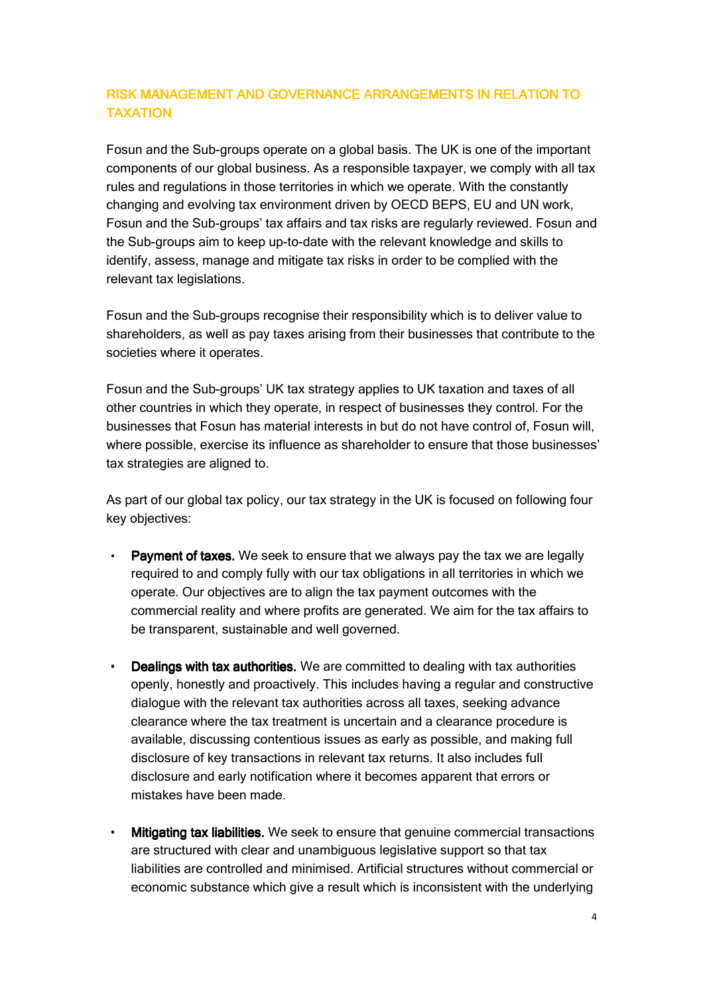## RISK MANAGEMENT AND GOVERNANCE ARRANGEMENTS IN RELATION TO TAXATION

Fosun and the Sub-groups operate on a global basis. The UK is one of the important components of our global business. As a responsible taxpayer, we comply with all tax rules and regulations in those territories in which we operate. With the constantly changing and evolving tax environment driven by OECD BEPS, EU and UN work, Fosun and the Sub-groups' tax affairs and tax risks are regularly reviewed. Fosun and the Sub-groups aim to keep up-to-date with the relevant knowledge and skills to identify, assess, manage and mitigate tax risks in order to be complied with the relevant tax legislations.

Fosun and the Sub-groups recognise their responsibility which is to deliver value to shareholders, as well as pay taxes arising from their businesses that contribute to the societies where it operates.

Fosun and the Sub-groups' UK tax strategy applies to UK taxation and taxes of all other countries in which they operate, in respect of businesses they control. For the businesses that Fosun has material interests in but do not have control of, Fosun will, where possible, exercise its influence as shareholder to ensure that those businesses' tax strategies are aligned to.

As part of our global tax policy, our tax strategy in the UK is focused on following four key objectives:

- **Payment of taxes.** We seek to ensure that we always pay the tax we are legally required to and comply fully with our tax obligations in all territories in which we operate. Our objectives are to align the tax payment outcomes with the commercial reality and where profits are generated. We aim for the tax affairs to be transparent, sustainable and well governed.
	- **Dealings with tax authorities.** We are committed to dealing with tax authorities. openly, honestly and proactively. This includes having a regular and constructive dialogue with the relevant tax authorities across all taxes, seeking advance clearance where the tax treatment is uncertain and a clearance procedure is available, discussing contentious issues as early as possible, and making full disclosure of key transactions in relevant tax returns. It also includes full disclosure and early notification where it becomes apparent that errors or mistakes have been made.
- Mitigating tax liabilities. We seek to ensure that genuine commercial transactions are structured with clear and unambiguous legislative support so that tax liabilities are controlled and minimised. Artificial structures without commercial or economic substance which give a result which is inconsistent with the underlying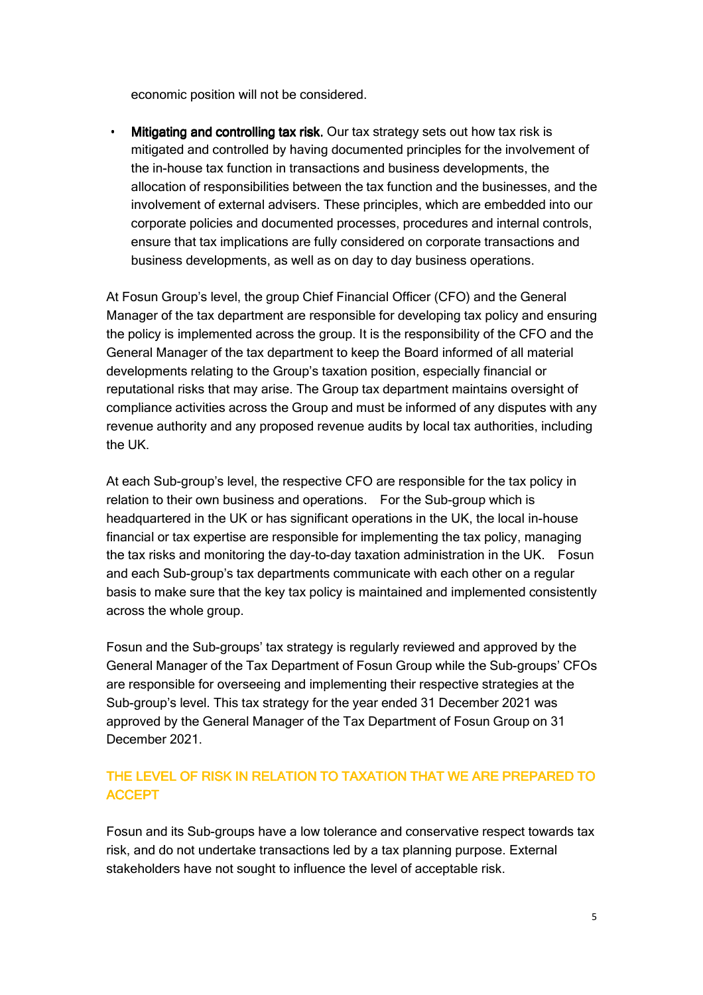economic position will not be considered.

Mitigating and controlling tax risk. Our tax strategy sets out how tax risk is mitigated and controlled by having documented principles for the involvement of the in-house tax function in transactions and business developments, the allocation of responsibilities between the tax function and the businesses, and the involvement of external advisers. These principles, which are embedded into our corporate policies and documented processes, procedures and internal controls, ensure that tax implications are fully considered on corporate transactions and business developments, as well as on day to day business operations.

At Fosun Group's level, the group Chief Financial Officer (CFO) and the General Manager of the tax department are responsible for developing tax policy and ensuring the policy is implemented across the group. It is the responsibility of the CFO and the General Manager of the tax department to keep the Board informed of all material developments relating to the Group's taxation position, especially financial or reputational risks that may arise. The Group tax department maintains oversight of compliance activities across the Group and must be informed of any disputes with any revenue authority and any proposed revenue audits by local tax authorities, including the UK.

At each Sub-group's level, the respective CFO are responsible for the tax policy in relation to their own business and operations. For the Sub-group which is headquartered in the UK or has significant operations in the UK, the local in-house financial or tax expertise are responsible for implementing the tax policy, managing the tax risks and monitoring the day-to-day taxation administration in the UK. Fosun and each Sub-group's tax departments communicate with each other on a regular basis to make sure that the key tax policy is maintained and implemented consistently across the whole group.

Fosun and the Sub-groups' tax strategy is regularly reviewed and approved by the General Manager of the Tax Department of Fosun Group while the Sub-groups' CFOs are responsible for overseeing and implementing their respective strategies at the Sub-group's level. This tax strategy for the year ended 31 December 2021 was approved by the General Manager of the Tax Department of Fosun Group on 31 December 2021.

# THE LEVEL OF RISK IN RELATION TO TAXATION THAT WE ARE PREPARED TO **ACCEPT**

Fosun and its Sub-groups have a low tolerance and conservative respect towards tax risk, and do not undertake transactions led by a tax planning purpose. External stakeholders have not sought to influence the level of acceptable risk.